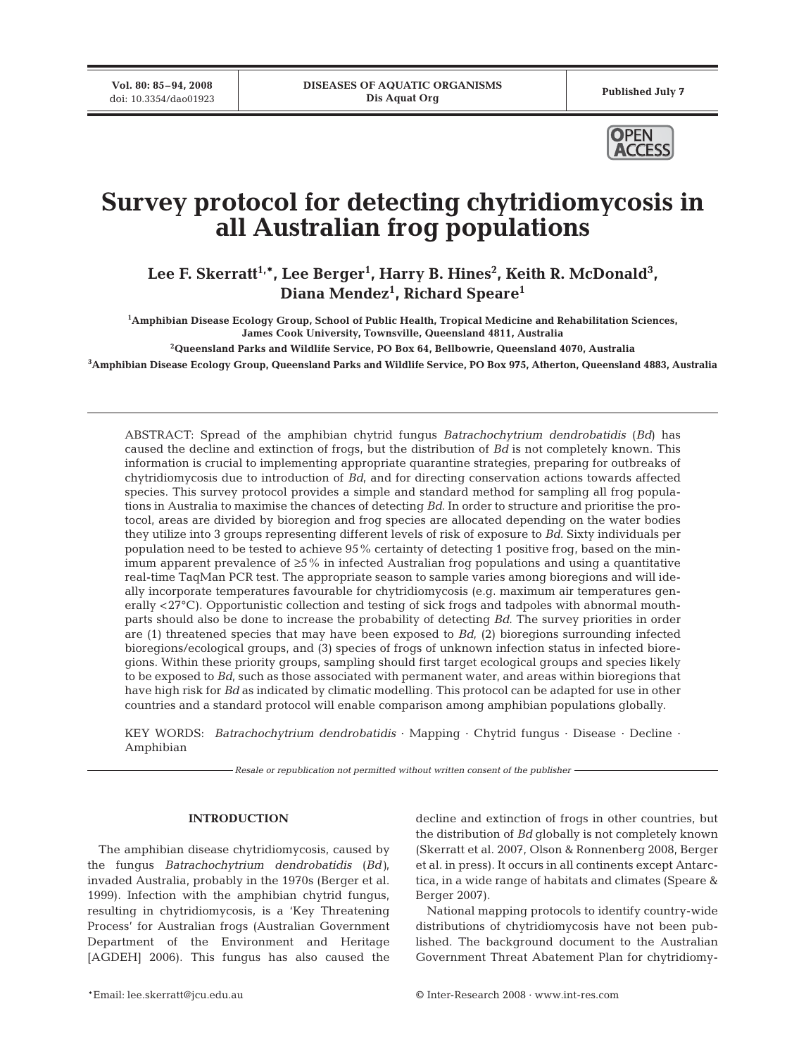**Vol. 80: 85–94, 2008**



# **Survey protocol for detecting chytridiomycosis in all Australian frog populations**

Lee F. Skerratt<sup>1,</sup>\*, Lee Berger<sup>1</sup>, Harry B. Hines<sup>2</sup>, Keith R. McDonald<sup>3</sup>, **Diana Mendez1 , Richard Speare1**

**1 Amphibian Disease Ecology Group, School of Public Health, Tropical Medicine and Rehabilitation Sciences, James Cook University, Townsville, Queensland 4811, Australia**

**2 Queensland Parks and Wildlife Service, PO Box 64, Bellbowrie, Queensland 4070, Australia**

**3 Amphibian Disease Ecology Group, Queensland Parks and Wildlife Service, PO Box 975, Atherton, Queensland 4883, Australia**

ABSTRACT: Spread of the amphibian chytrid fungus *Batrachochytrium dendrobatidis* (*Bd*) has caused the decline and extinction of frogs, but the distribution of *Bd* is not completely known. This information is crucial to implementing appropriate quarantine strategies, preparing for outbreaks of chytridiomycosis due to introduction of *Bd*, and for directing conservation actions towards affected species. This survey protocol provides a simple and standard method for sampling all frog populations in Australia to maximise the chances of detecting *Bd*. In order to structure and prioritise the protocol, areas are divided by bioregion and frog species are allocated depending on the water bodies they utilize into 3 groups representing different levels of risk of exposure to *Bd*. Sixty individuals per population need to be tested to achieve 95% certainty of detecting 1 positive frog, based on the minimum apparent prevalence of ≥5% in infected Australian frog populations and using a quantitative real-time TaqMan PCR test. The appropriate season to sample varies among bioregions and will ideally incorporate temperatures favourable for chytridiomycosis (e.g. maximum air temperatures generally <27°C). Opportunistic collection and testing of sick frogs and tadpoles with abnormal mouthparts should also be done to increase the probability of detecting *Bd*. The survey priorities in order are (1) threatened species that may have been exposed to *Bd*, (2) bioregions surrounding infected bioregions/ecological groups, and (3) species of frogs of unknown infection status in infected bioregions. Within these priority groups, sampling should first target ecological groups and species likely to be exposed to *Bd*, such as those associated with permanent water, and areas within bioregions that have high risk for *Bd* as indicated by climatic modelling. This protocol can be adapted for use in other countries and a standard protocol will enable comparison among amphibian populations globally.

KEY WORDS: *Batrachochytrium dendrobatidis* · Mapping · Chytrid fungus · Disease · Decline · Amphibian

*Resale or republication not permitted without written consent of the publisher*

## **INTRODUCTION**

The amphibian disease chytridiomycosis, caused by the fungus *Batrachochytrium dendrobatidis* (*Bd)*, invaded Australia, probably in the 1970s (Berger et al. 1999). Infection with the amphibian chytrid fungus, resulting in chytridiomycosis, is a 'Key Threatening Process' for Australian frogs (Australian Government Department of the Environment and Heritage [AGDEH] 2006). This fungus has also caused the

decline and extinction of frogs in other countries, but the distribution of *Bd* globally is not completely known (Skerratt et al. 2007, Olson & Ronnenberg 2008, Berger et al. in press). It occurs in all continents except Antarctica, in a wide range of habitats and climates (Speare & Berger 2007).

National mapping protocols to identify country-wide distributions of chytridiomycosis have not been published. The background document to the Australian Government Threat Abatement Plan for chytridiomy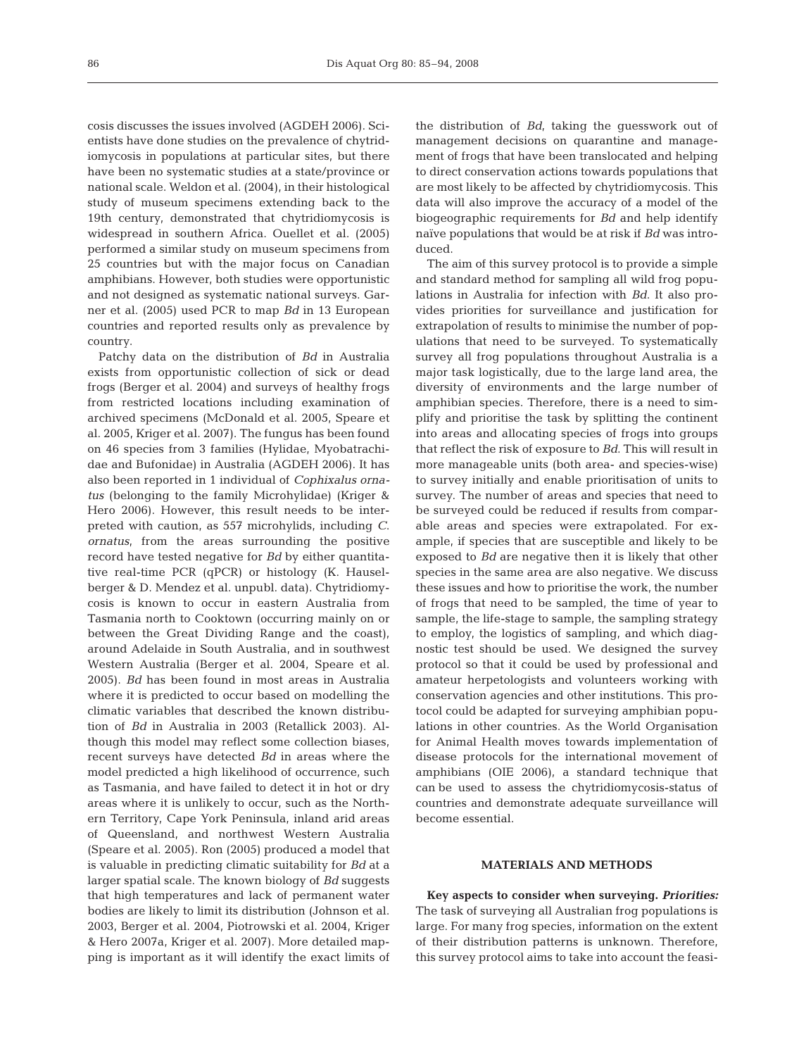cosis discusses the issues involved (AGDEH 2006). Scientists have done studies on the prevalence of chytridiomycosis in populations at particular sites, but there have been no systematic studies at a state/province or national scale. Weldon et al. (2004), in their histological study of museum specimens extending back to the 19th century, demonstrated that chytridiomycosis is widespread in southern Africa. Ouellet et al. (2005) performed a similar study on museum specimens from 25 countries but with the major focus on Canadian amphibians. However, both studies were opportunistic and not designed as systematic national surveys. Garner et al. (2005) used PCR to map *Bd* in 13 European countries and reported results only as prevalence by country.

Patchy data on the distribution of *Bd* in Australia exists from opportunistic collection of sick or dead frogs (Berger et al. 2004) and surveys of healthy frogs from restricted locations including examination of archived specimens (McDonald et al. 2005, Speare et al. 2005, Kriger et al. 2007). The fungus has been found on 46 species from 3 families (Hylidae, Myobatrachidae and Bufonidae) in Australia (AGDEH 2006). It has also been reported in 1 individual of *Cophixalus ornatus* (belonging to the family Microhylidae) (Kriger & Hero 2006). However, this result needs to be interpreted with caution, as 557 microhylids, including *C*. *ornatus*, from the areas surrounding the positive record have tested negative for *Bd* by either quantitative real-time PCR (qPCR) or histology (K. Hauselberger & D. Mendez et al. unpubl. data). Chytridiomycosis is known to occur in eastern Australia from Tasmania north to Cooktown (occurring mainly on or between the Great Dividing Range and the coast), around Adelaide in South Australia, and in southwest Western Australia (Berger et al. 2004, Speare et al. 2005). *Bd* has been found in most areas in Australia where it is predicted to occur based on modelling the climatic variables that described the known distribution of *Bd* in Australia in 2003 (Retallick 2003). Although this model may reflect some collection biases, recent surveys have detected *Bd* in areas where the model predicted a high likelihood of occurrence, such as Tasmania, and have failed to detect it in hot or dry areas where it is unlikely to occur, such as the Northern Territory, Cape York Peninsula, inland arid areas of Queensland, and northwest Western Australia (Speare et al. 2005). Ron (2005) produced a model that is valuable in predicting climatic suitability for *Bd* at a larger spatial scale. The known biology of *Bd* suggests that high temperatures and lack of permanent water bodies are likely to limit its distribution (Johnson et al. 2003, Berger et al. 2004, Piotrowski et al. 2004, Kriger & Hero 2007a, Kriger et al. 2007). More detailed mapping is important as it will identify the exact limits of

the distribution of *Bd*, taking the guesswork out of management decisions on quarantine and management of frogs that have been translocated and helping to direct conservation actions towards populations that are most likely to be affected by chytridiomycosis. This data will also improve the accuracy of a model of the biogeographic requirements for *Bd* and help identify naïve populations that would be at risk if *Bd* was introduced.

The aim of this survey protocol is to provide a simple and standard method for sampling all wild frog populations in Australia for infection with *Bd*. It also provides priorities for surveillance and justification for extrapolation of results to minimise the number of populations that need to be surveyed. To systematically survey all frog populations throughout Australia is a major task logistically, due to the large land area, the diversity of environments and the large number of amphibian species. Therefore, there is a need to simplify and prioritise the task by splitting the continent into areas and allocating species of frogs into groups that reflect the risk of exposure to *Bd*. This will result in more manageable units (both area- and species-wise) to survey initially and enable prioritisation of units to survey. The number of areas and species that need to be surveyed could be reduced if results from comparable areas and species were extrapolated. For example, if species that are susceptible and likely to be exposed to *Bd* are negative then it is likely that other species in the same area are also negative. We discuss these issues and how to prioritise the work, the number of frogs that need to be sampled, the time of year to sample, the life-stage to sample, the sampling strategy to employ, the logistics of sampling, and which diagnostic test should be used. We designed the survey protocol so that it could be used by professional and amateur herpetologists and volunteers working with conservation agencies and other institutions. This protocol could be adapted for surveying amphibian populations in other countries. As the World Organisation for Animal Health moves towards implementation of disease protocols for the international movement of amphibians (OIE 2006), a standard technique that can be used to assess the chytridiomycosis-status of countries and demonstrate adequate surveillance will become essential.

#### **MATERIALS AND METHODS**

**Key aspects to consider when surveying.** *Priorities:* The task of surveying all Australian frog populations is large. For many frog species, information on the extent of their distribution patterns is unknown. Therefore, this survey protocol aims to take into account the feasi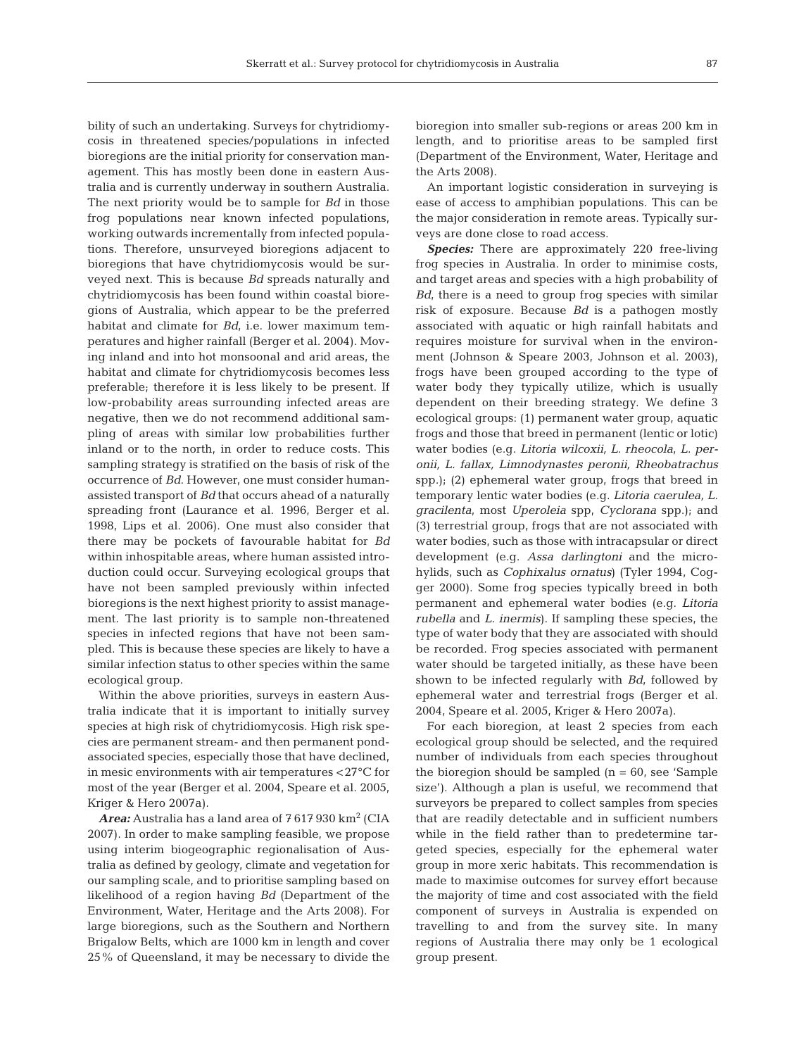bility of such an undertaking. Surveys for chytridiomycosis in threatened species/populations in infected bioregions are the initial priority for conservation management. This has mostly been done in eastern Australia and is currently underway in southern Australia. The next priority would be to sample for *Bd* in those frog populations near known infected populations, working outwards incrementally from infected populations. Therefore, unsurveyed bioregions adjacent to bioregions that have chytridiomycosis would be surveyed next. This is because *Bd* spreads naturally and chytridiomycosis has been found within coastal bioregions of Australia, which appear to be the preferred habitat and climate for *Bd*, i.e. lower maximum temperatures and higher rainfall (Berger et al. 2004). Moving inland and into hot monsoonal and arid areas, the habitat and climate for chytridiomycosis becomes less preferable; therefore it is less likely to be present. If low-probability areas surrounding infected areas are negative, then we do not recommend additional sampling of areas with similar low probabilities further inland or to the north, in order to reduce costs. This sampling strategy is stratified on the basis of risk of the occurrence of *Bd*. However, one must consider humanassisted transport of *Bd* that occurs ahead of a naturally spreading front (Laurance et al. 1996, Berger et al. 1998, Lips et al. 2006). One must also consider that there may be pockets of favourable habitat for *Bd* within inhospitable areas, where human assisted introduction could occur. Surveying ecological groups that have not been sampled previously within infected bioregions is the next highest priority to assist management. The last priority is to sample non-threatened species in infected regions that have not been sampled. This is because these species are likely to have a similar infection status to other species within the same ecological group.

Within the above priorities, surveys in eastern Australia indicate that it is important to initially survey species at high risk of chytridiomycosis. High risk species are permanent stream- and then permanent pondassociated species, especially those that have declined, in mesic environments with air temperatures <27°C for most of the year (Berger et al. 2004, Speare et al. 2005, Kriger & Hero 2007a).

Area: Australia has a land area of 7617930 km<sup>2</sup> (CIA 2007). In order to make sampling feasible, we propose using interim biogeographic regionalisation of Australia as defined by geology, climate and vegetation for our sampling scale, and to prioritise sampling based on likelihood of a region having *Bd* (Department of the Environment, Water, Heritage and the Arts 2008). For large bioregions, such as the Southern and Northern Brigalow Belts, which are 1000 km in length and cover 25% of Queensland, it may be necessary to divide the

bioregion into smaller sub-regions or areas 200 km in length, and to prioritise areas to be sampled first (Department of the Environment, Water, Heritage and the Arts 2008).

An important logistic consideration in surveying is ease of access to amphibian populations. This can be the major consideration in remote areas. Typically surveys are done close to road access.

**Species:** There are approximately 220 free-living frog species in Australia. In order to minimise costs, and target areas and species with a high probability of *Bd*, there is a need to group frog species with similar risk of exposure. Because *Bd* is a pathogen mostly associated with aquatic or high rainfall habitats and requires moisture for survival when in the environment (Johnson & Speare 2003, Johnson et al. 2003), frogs have been grouped according to the type of water body they typically utilize, which is usually dependent on their breeding strategy. We define 3 ecological groups: (1) permanent water group, aquatic frogs and those that breed in permanent (lentic or lotic) water bodies (e.g. *Litoria wilcoxii, L. rheocola*, *L. peronii, L. fallax, Limnodynastes peronii, Rheobatrachus* spp.); (2) ephemeral water group, frogs that breed in temporary lentic water bodies (e.g. *Litoria caerulea, L. gracilenta*, most *Uperoleia* spp, *Cyclorana* spp.); and (3) terrestrial group, frogs that are not associated with water bodies, such as those with intracapsular or direct development (e.g. *Assa darlingtoni* and the microhylids, such as *Cophixalus ornatus*) (Tyler 1994, Cogger 2000). Some frog species typically breed in both permanent and ephemeral water bodies (e.g. *Litoria rubella* and *L*. *inermis*). If sampling these species, the type of water body that they are associated with should be recorded. Frog species associated with permanent water should be targeted initially, as these have been shown to be infected regularly with *Bd*, followed by ephemeral water and terrestrial frogs (Berger et al. 2004, Speare et al. 2005, Kriger & Hero 2007a).

For each bioregion, at least 2 species from each ecological group should be selected, and the required number of individuals from each species throughout the bioregion should be sampled  $(n = 60, \text{ see } 'Sample$ size'). Although a plan is useful, we recommend that surveyors be prepared to collect samples from species that are readily detectable and in sufficient numbers while in the field rather than to predetermine targeted species, especially for the ephemeral water group in more xeric habitats. This recommendation is made to maximise outcomes for survey effort because the majority of time and cost associated with the field component of surveys in Australia is expended on travelling to and from the survey site. In many regions of Australia there may only be 1 ecological group present.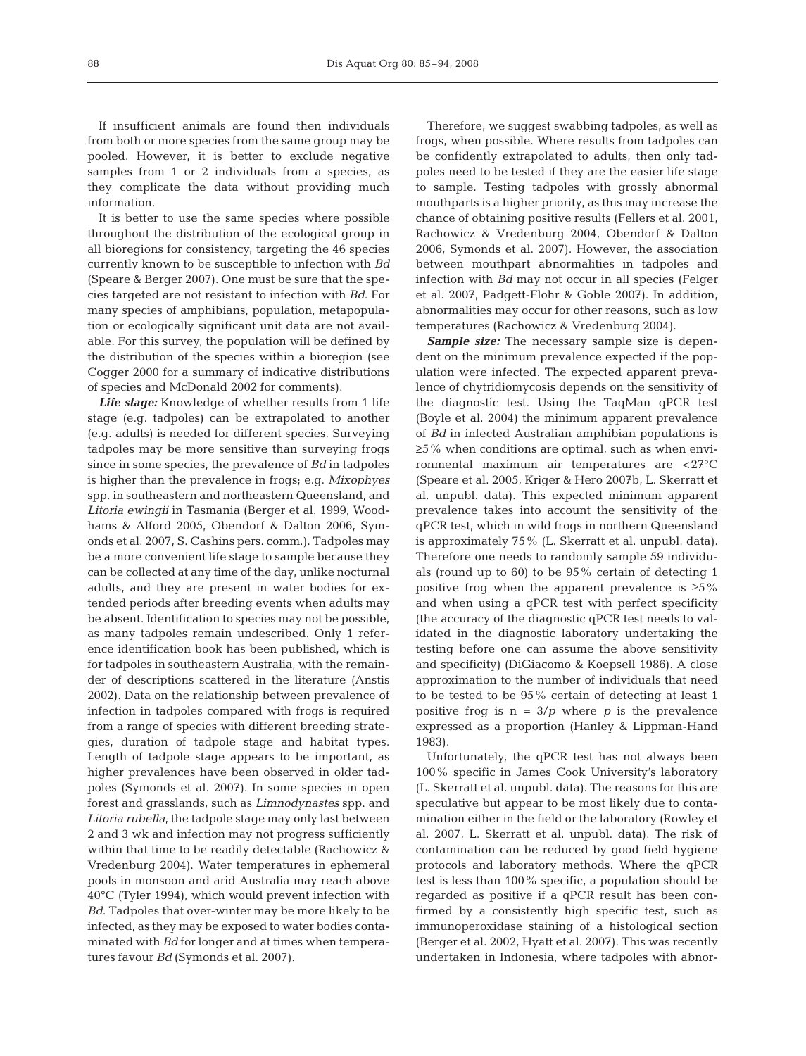If insufficient animals are found then individuals from both or more species from the same group may be pooled. However, it is better to exclude negative samples from 1 or 2 individuals from a species, as they complicate the data without providing much information.

It is better to use the same species where possible throughout the distribution of the ecological group in all bioregions for consistency, targeting the 46 species currently known to be susceptible to infection with *Bd* (Speare & Berger 2007). One must be sure that the species targeted are not resistant to infection with *Bd*. For many species of amphibians, population, metapopulation or ecologically significant unit data are not available. For this survey, the population will be defined by the distribution of the species within a bioregion (see Cogger 2000 for a summary of indicative distributions of species and McDonald 2002 for comments).

*Life stage:* Knowledge of whether results from 1 life stage (e.g. tadpoles) can be extrapolated to another (e.g. adults) is needed for different species. Surveying tadpoles may be more sensitive than surveying frogs since in some species, the prevalence of *Bd* in tadpoles is higher than the prevalence in frogs; e.g. *Mixophyes* spp. in southeastern and northeastern Queensland, and *Litoria ewingii* in Tasmania (Berger et al. 1999, Woodhams & Alford 2005, Obendorf & Dalton 2006, Symonds et al. 2007, S. Cashins pers. comm.). Tadpoles may be a more convenient life stage to sample because they can be collected at any time of the day, unlike nocturnal adults, and they are present in water bodies for extended periods after breeding events when adults may be absent. Identification to species may not be possible, as many tadpoles remain undescribed. Only 1 reference identification book has been published, which is for tadpoles in southeastern Australia, with the remainder of descriptions scattered in the literature (Anstis 2002). Data on the relationship between prevalence of infection in tadpoles compared with frogs is required from a range of species with different breeding strategies, duration of tadpole stage and habitat types. Length of tadpole stage appears to be important, as higher prevalences have been observed in older tadpoles (Symonds et al. 2007). In some species in open forest and grasslands, such as *Limnodynastes* spp. and *Litoria rubella*, the tadpole stage may only last between 2 and 3 wk and infection may not progress sufficiently within that time to be readily detectable (Rachowicz & Vredenburg 2004). Water temperatures in ephemeral pools in monsoon and arid Australia may reach above 40°C (Tyler 1994), which would prevent infection with *Bd*. Tadpoles that over-winter may be more likely to be infected, as they may be exposed to water bodies contaminated with *Bd* for longer and at times when temperatures favour *Bd* (Symonds et al. 2007).

Therefore, we suggest swabbing tadpoles, as well as frogs, when possible. Where results from tadpoles can be confidently extrapolated to adults, then only tadpoles need to be tested if they are the easier life stage to sample. Testing tadpoles with grossly abnormal mouthparts is a higher priority, as this may increase the chance of obtaining positive results (Fellers et al. 2001, Rachowicz & Vredenburg 2004, Obendorf & Dalton 2006, Symonds et al. 2007). However, the association between mouthpart abnormalities in tadpoles and infection with *Bd* may not occur in all species (Felger et al. 2007, Padgett-Flohr & Goble 2007). In addition, abnormalities may occur for other reasons, such as low temperatures (Rachowicz & Vredenburg 2004).

*Sample size:* The necessary sample size is dependent on the minimum prevalence expected if the population were infected. The expected apparent prevalence of chytridiomycosis depends on the sensitivity of the diagnostic test. Using the TaqMan qPCR test (Boyle et al. 2004) the minimum apparent prevalence of *Bd* in infected Australian amphibian populations is ≥5% when conditions are optimal, such as when environmental maximum air temperatures are <27°C (Speare et al. 2005, Kriger & Hero 2007b, L. Skerratt et al. unpubl. data). This expected minimum apparent prevalence takes into account the sensitivity of the qPCR test, which in wild frogs in northern Queensland is approximately 75% (L. Skerratt et al. unpubl. data). Therefore one needs to randomly sample 59 individuals (round up to 60) to be 95% certain of detecting 1 positive frog when the apparent prevalence is  $\geq 5\%$ and when using a qPCR test with perfect specificity (the accuracy of the diagnostic qPCR test needs to validated in the diagnostic laboratory undertaking the testing before one can assume the above sensitivity and specificity) (DiGiacomo & Koepsell 1986). A close approximation to the number of individuals that need to be tested to be 95% certain of detecting at least 1 positive frog is  $n = 3/p$  where *p* is the prevalence expressed as a proportion (Hanley & Lippman-Hand 1983).

Unfortunately, the qPCR test has not always been 100% specific in James Cook University's laboratory (L. Skerratt et al. unpubl. data). The reasons for this are speculative but appear to be most likely due to contamination either in the field or the laboratory (Rowley et al. 2007, L. Skerratt et al. unpubl. data). The risk of contamination can be reduced by good field hygiene protocols and laboratory methods. Where the qPCR test is less than 100% specific, a population should be regarded as positive if a qPCR result has been confirmed by a consistently high specific test, such as immunoperoxidase staining of a histological section (Berger et al. 2002, Hyatt et al. 2007). This was recently undertaken in Indonesia, where tadpoles with abnor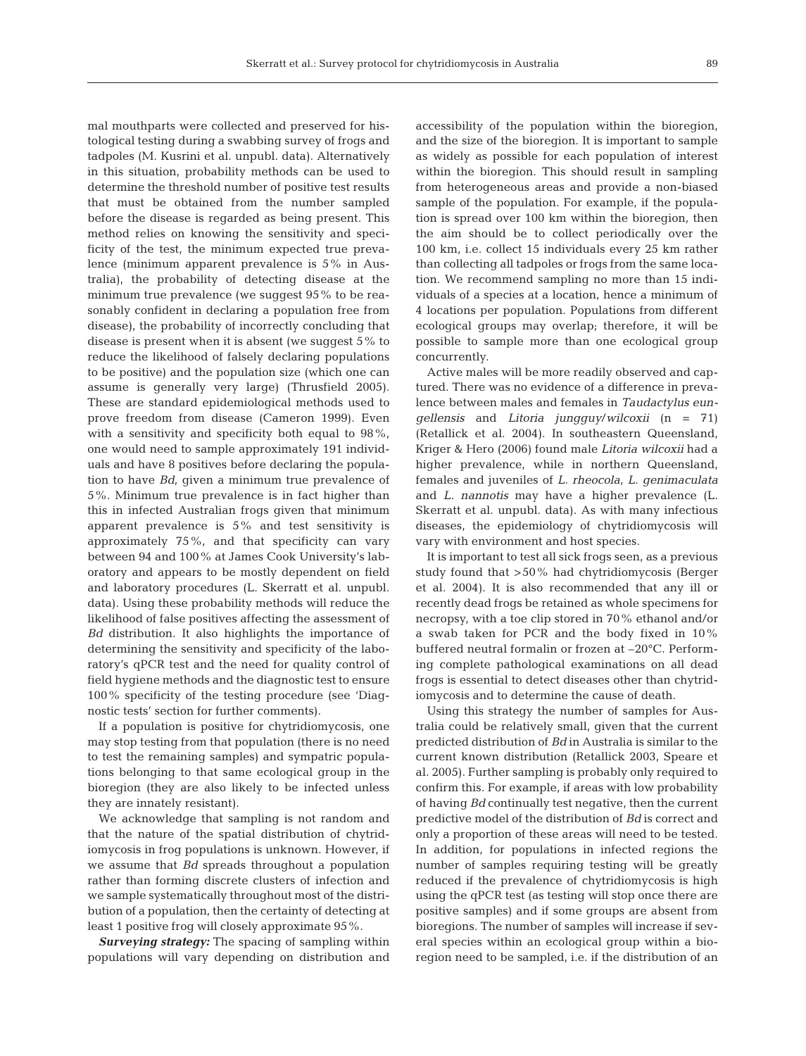mal mouthparts were collected and preserved for histological testing during a swabbing survey of frogs and tadpoles (M. Kusrini et al. unpubl. data). Alternatively in this situation, probability methods can be used to determine the threshold number of positive test results that must be obtained from the number sampled before the disease is regarded as being present. This method relies on knowing the sensitivity and specificity of the test, the minimum expected true prevalence (minimum apparent prevalence is 5% in Australia), the probability of detecting disease at the minimum true prevalence (we suggest 95% to be reasonably confident in declaring a population free from disease), the probability of incorrectly concluding that disease is present when it is absent (we suggest 5% to reduce the likelihood of falsely declaring populations to be positive) and the population size (which one can assume is generally very large) (Thrusfield 2005). These are standard epidemiological methods used to prove freedom from disease (Cameron 1999). Even with a sensitivity and specificity both equal to 98%, one would need to sample approximately 191 individuals and have 8 positives before declaring the population to have *Bd*, given a minimum true prevalence of 5%. Minimum true prevalence is in fact higher than this in infected Australian frogs given that minimum apparent prevalence is 5% and test sensitivity is approximately 75%, and that specificity can vary between 94 and 100% at James Cook University's laboratory and appears to be mostly dependent on field and laboratory procedures (L. Skerratt et al. unpubl. data). Using these probability methods will reduce the likelihood of false positives affecting the assessment of *Bd* distribution. It also highlights the importance of determining the sensitivity and specificity of the laboratory's qPCR test and the need for quality control of field hygiene methods and the diagnostic test to ensure 100% specificity of the testing procedure (see 'Diagnostic tests' section for further comments).

If a population is positive for chytridiomycosis, one may stop testing from that population (there is no need to test the remaining samples) and sympatric populations belonging to that same ecological group in the bioregion (they are also likely to be infected unless they are innately resistant).

We acknowledge that sampling is not random and that the nature of the spatial distribution of chytridiomycosis in frog populations is unknown. However, if we assume that *Bd* spreads throughout a population rather than forming discrete clusters of infection and we sample systematically throughout most of the distribution of a population, then the certainty of detecting at least 1 positive frog will closely approximate 95%.

*Surveying strategy:* The spacing of sampling within populations will vary depending on distribution and accessibility of the population within the bioregion, and the size of the bioregion. It is important to sample as widely as possible for each population of interest within the bioregion. This should result in sampling from heterogeneous areas and provide a non-biased sample of the population. For example, if the population is spread over 100 km within the bioregion, then the aim should be to collect periodically over the 100 km, i.e. collect 15 individuals every 25 km rather than collecting all tadpoles or frogs from the same location. We recommend sampling no more than 15 individuals of a species at a location, hence a minimum of 4 locations per population. Populations from different ecological groups may overlap; therefore, it will be possible to sample more than one ecological group concurrently.

Active males will be more readily observed and captured. There was no evidence of a difference in prevalence between males and females in *Taudactylus eungellensis* and *Litoria jungguy*/*wilcoxii* (n = 71) (Retallick et al. 2004). In southeastern Queensland, Kriger & Hero (2006) found male *Litoria wilcoxii* had a higher prevalence, while in northern Queensland, females and juveniles of *L. rheocola*, *L. genimaculata* and *L. nannotis* may have a higher prevalence (L. Skerratt et al. unpubl. data). As with many infectious diseases, the epidemiology of chytridiomycosis will vary with environment and host species.

It is important to test all sick frogs seen, as a previous study found that >50% had chytridiomycosis (Berger et al. 2004). It is also recommended that any ill or recently dead frogs be retained as whole specimens for necropsy, with a toe clip stored in 70% ethanol and/or a swab taken for PCR and the body fixed in 10% buffered neutral formalin or frozen at –20°C. Performing complete pathological examinations on all dead frogs is essential to detect diseases other than chytridiomycosis and to determine the cause of death.

Using this strategy the number of samples for Australia could be relatively small, given that the current predicted distribution of *Bd* in Australia is similar to the current known distribution (Retallick 2003, Speare et al. 2005). Further sampling is probably only required to confirm this. For example, if areas with low probability of having *Bd* continually test negative, then the current predictive model of the distribution of *Bd* is correct and only a proportion of these areas will need to be tested. In addition, for populations in infected regions the number of samples requiring testing will be greatly reduced if the prevalence of chytridiomycosis is high using the qPCR test (as testing will stop once there are positive samples) and if some groups are absent from bioregions. The number of samples will increase if several species within an ecological group within a bioregion need to be sampled, i.e. if the distribution of an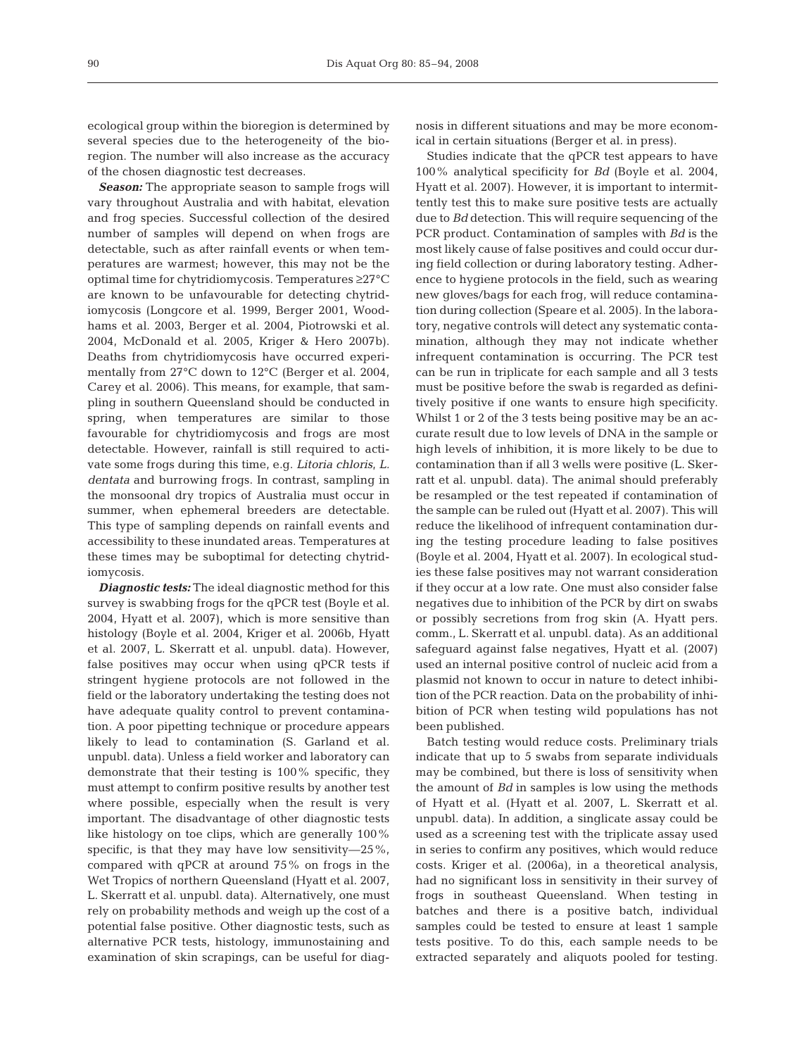ecological group within the bioregion is determined by several species due to the heterogeneity of the bioregion. The number will also increase as the accuracy of the chosen diagnostic test decreases.

*Season:* The appropriate season to sample frogs will vary throughout Australia and with habitat, elevation and frog species. Successful collection of the desired number of samples will depend on when frogs are detectable, such as after rainfall events or when temperatures are warmest; however, this may not be the optimal time for chytridiomycosis. Temperatures ≥27°C are known to be unfavourable for detecting chytridiomycosis (Longcore et al. 1999, Berger 2001, Woodhams et al. 2003, Berger et al. 2004, Piotrowski et al. 2004, McDonald et al. 2005, Kriger & Hero 2007b). Deaths from chytridiomycosis have occurred experimentally from 27°C down to 12°C (Berger et al. 2004, Carey et al. 2006). This means, for example, that sampling in southern Queensland should be conducted in spring, when temperatures are similar to those favourable for chytridiomycosis and frogs are most detectable. However, rainfall is still required to activate some frogs during this time, e.g. *Litoria chloris*, *L. dentata* and burrowing frogs. In contrast, sampling in the monsoonal dry tropics of Australia must occur in summer, when ephemeral breeders are detectable. This type of sampling depends on rainfall events and accessibility to these inundated areas. Temperatures at these times may be suboptimal for detecting chytridiomycosis.

*Diagnostic tests:* The ideal diagnostic method for this survey is swabbing frogs for the qPCR test (Boyle et al. 2004, Hyatt et al. 2007), which is more sensitive than histology (Boyle et al. 2004, Kriger et al. 2006b, Hyatt et al. 2007, L. Skerratt et al. unpubl. data). However, false positives may occur when using qPCR tests if stringent hygiene protocols are not followed in the field or the laboratory undertaking the testing does not have adequate quality control to prevent contamination. A poor pipetting technique or procedure appears likely to lead to contamination (S. Garland et al. unpubl. data). Unless a field worker and laboratory can demonstrate that their testing is 100% specific, they must attempt to confirm positive results by another test where possible, especially when the result is very important. The disadvantage of other diagnostic tests like histology on toe clips, which are generally 100% specific, is that they may have low sensitivity—25%, compared with qPCR at around 75% on frogs in the Wet Tropics of northern Queensland (Hyatt et al. 2007, L. Skerratt et al. unpubl. data). Alternatively, one must rely on probability methods and weigh up the cost of a potential false positive. Other diagnostic tests, such as alternative PCR tests, histology, immunostaining and examination of skin scrapings, can be useful for diagnosis in different situations and may be more economical in certain situations (Berger et al. in press).

Studies indicate that the qPCR test appears to have 100% analytical specificity for *Bd* (Boyle et al. 2004, Hyatt et al. 2007). However, it is important to intermittently test this to make sure positive tests are actually due to *Bd* detection. This will require sequencing of the PCR product. Contamination of samples with *Bd* is the most likely cause of false positives and could occur during field collection or during laboratory testing. Adherence to hygiene protocols in the field, such as wearing new gloves/bags for each frog, will reduce contamination during collection (Speare et al. 2005). In the laboratory, negative controls will detect any systematic contamination, although they may not indicate whether infrequent contamination is occurring. The PCR test can be run in triplicate for each sample and all 3 tests must be positive before the swab is regarded as definitively positive if one wants to ensure high specificity. Whilst 1 or 2 of the 3 tests being positive may be an accurate result due to low levels of DNA in the sample or high levels of inhibition, it is more likely to be due to contamination than if all 3 wells were positive (L. Skerratt et al. unpubl. data). The animal should preferably be resampled or the test repeated if contamination of the sample can be ruled out (Hyatt et al. 2007). This will reduce the likelihood of infrequent contamination during the testing procedure leading to false positives (Boyle et al. 2004, Hyatt et al. 2007). In ecological studies these false positives may not warrant consideration if they occur at a low rate. One must also consider false negatives due to inhibition of the PCR by dirt on swabs or possibly secretions from frog skin (A. Hyatt pers. comm., L. Skerratt et al. unpubl. data). As an additional safeguard against false negatives, Hyatt et al. (2007) used an internal positive control of nucleic acid from a plasmid not known to occur in nature to detect inhibition of the PCR reaction. Data on the probability of inhibition of PCR when testing wild populations has not been published.

Batch testing would reduce costs. Preliminary trials indicate that up to 5 swabs from separate individuals may be combined, but there is loss of sensitivity when the amount of *Bd* in samples is low using the methods of Hyatt et al. (Hyatt et al. 2007, L. Skerratt et al. unpubl. data). In addition, a singlicate assay could be used as a screening test with the triplicate assay used in series to confirm any positives, which would reduce costs. Kriger et al. (2006a), in a theoretical analysis, had no significant loss in sensitivity in their survey of frogs in southeast Queensland. When testing in batches and there is a positive batch, individual samples could be tested to ensure at least 1 sample tests positive. To do this, each sample needs to be extracted separately and aliquots pooled for testing.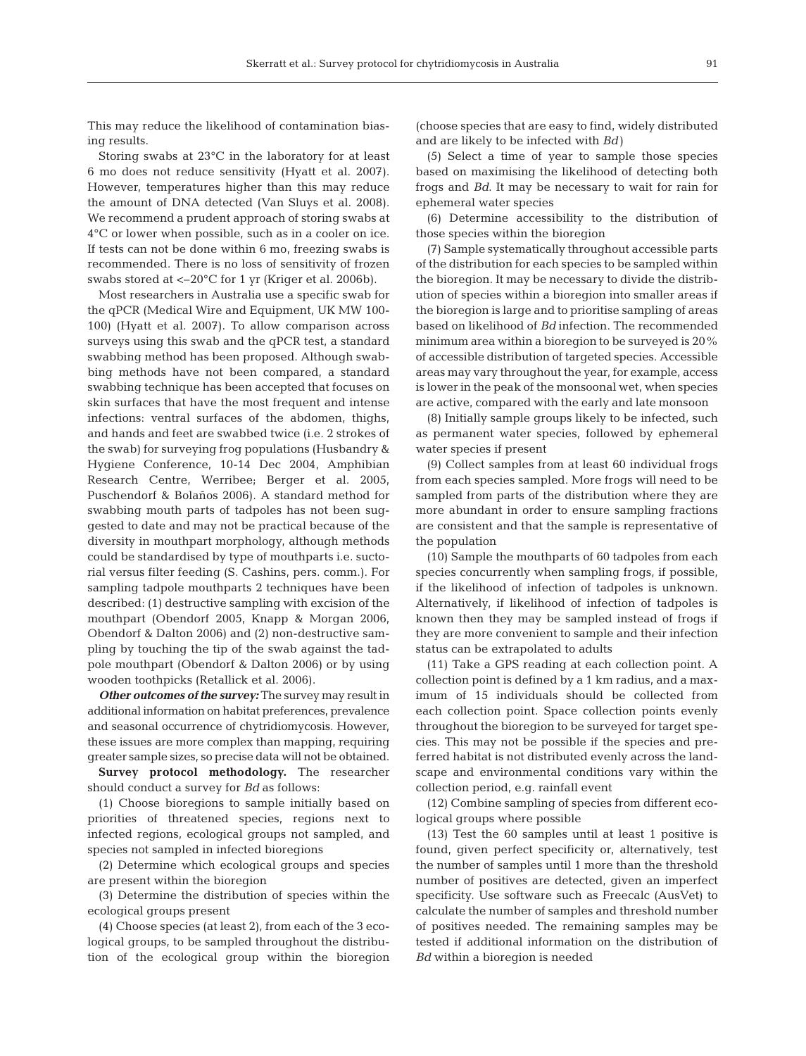This may reduce the likelihood of contamination biasing results.

Storing swabs at 23°C in the laboratory for at least 6 mo does not reduce sensitivity (Hyatt et al. 2007). However, temperatures higher than this may reduce the amount of DNA detected (Van Sluys et al. 2008). We recommend a prudent approach of storing swabs at 4°C or lower when possible, such as in a cooler on ice. If tests can not be done within 6 mo, freezing swabs is recommended. There is no loss of sensitivity of frozen swabs stored at <–20°C for 1 yr (Kriger et al. 2006b).

Most researchers in Australia use a specific swab for the qPCR (Medical Wire and Equipment, UK MW 100- 100) (Hyatt et al. 2007). To allow comparison across surveys using this swab and the qPCR test, a standard swabbing method has been proposed. Although swabbing methods have not been compared, a standard swabbing technique has been accepted that focuses on skin surfaces that have the most frequent and intense infections: ventral surfaces of the abdomen, thighs, and hands and feet are swabbed twice (i.e. 2 strokes of the swab) for surveying frog populations (Husbandry & Hygiene Conference, 10-14 Dec 2004, Amphibian Research Centre, Werribee; Berger et al. 2005, Puschendorf & Bolaños 2006). A standard method for swabbing mouth parts of tadpoles has not been suggested to date and may not be practical because of the diversity in mouthpart morphology, although methods could be standardised by type of mouthparts i.e. suctorial versus filter feeding (S. Cashins, pers. comm.). For sampling tadpole mouthparts 2 techniques have been described: (1) destructive sampling with excision of the mouthpart (Obendorf 2005, Knapp & Morgan 2006, Obendorf & Dalton 2006) and (2) non-destructive sampling by touching the tip of the swab against the tadpole mouthpart (Obendorf & Dalton 2006) or by using wooden toothpicks (Retallick et al. 2006).

*Other outcomes of the survey:* The survey may result in additional information on habitat preferences, prevalence and seasonal occurrence of chytridiomycosis. However, these issues are more complex than mapping, requiring greater sample sizes, so precise data will not be obtained.

**Survey protocol methodology.** The researcher should conduct a survey for *Bd* as follows:

(1) Choose bioregions to sample initially based on priorities of threatened species, regions next to infected regions, ecological groups not sampled, and species not sampled in infected bioregions

(2) Determine which ecological groups and species are present within the bioregion

(3) Determine the distribution of species within the ecological groups present

(4) Choose species (at least 2), from each of the 3 ecological groups, to be sampled throughout the distribution of the ecological group within the bioregion (choose species that are easy to find, widely distributed and are likely to be infected with *Bd)*

(5) Select a time of year to sample those species based on maximising the likelihood of detecting both frogs and *Bd*. It may be necessary to wait for rain for ephemeral water species

(6) Determine accessibility to the distribution of those species within the bioregion

(7) Sample systematically throughout accessible parts of the distribution for each species to be sampled within the bioregion. It may be necessary to divide the distribution of species within a bioregion into smaller areas if the bioregion is large and to prioritise sampling of areas based on likelihood of *Bd* infection. The recommended minimum area within a bioregion to be surveyed is 20% of accessible distribution of targeted species. Accessible areas may vary throughout the year, for example, access is lower in the peak of the monsoonal wet, when species are active, compared with the early and late monsoon

(8) Initially sample groups likely to be infected, such as permanent water species, followed by ephemeral water species if present

(9) Collect samples from at least 60 individual frogs from each species sampled. More frogs will need to be sampled from parts of the distribution where they are more abundant in order to ensure sampling fractions are consistent and that the sample is representative of the population

(10) Sample the mouthparts of 60 tadpoles from each species concurrently when sampling frogs, if possible, if the likelihood of infection of tadpoles is unknown. Alternatively, if likelihood of infection of tadpoles is known then they may be sampled instead of frogs if they are more convenient to sample and their infection status can be extrapolated to adults

(11) Take a GPS reading at each collection point. A collection point is defined by a 1 km radius, and a maximum of 15 individuals should be collected from each collection point. Space collection points evenly throughout the bioregion to be surveyed for target species. This may not be possible if the species and preferred habitat is not distributed evenly across the landscape and environmental conditions vary within the collection period, e.g. rainfall event

(12) Combine sampling of species from different ecological groups where possible

(13) Test the 60 samples until at least 1 positive is found, given perfect specificity or, alternatively, test the number of samples until 1 more than the threshold number of positives are detected, given an imperfect specificity. Use software such as Freecalc (AusVet) to calculate the number of samples and threshold number of positives needed. The remaining samples may be tested if additional information on the distribution of *Bd* within a bioregion is needed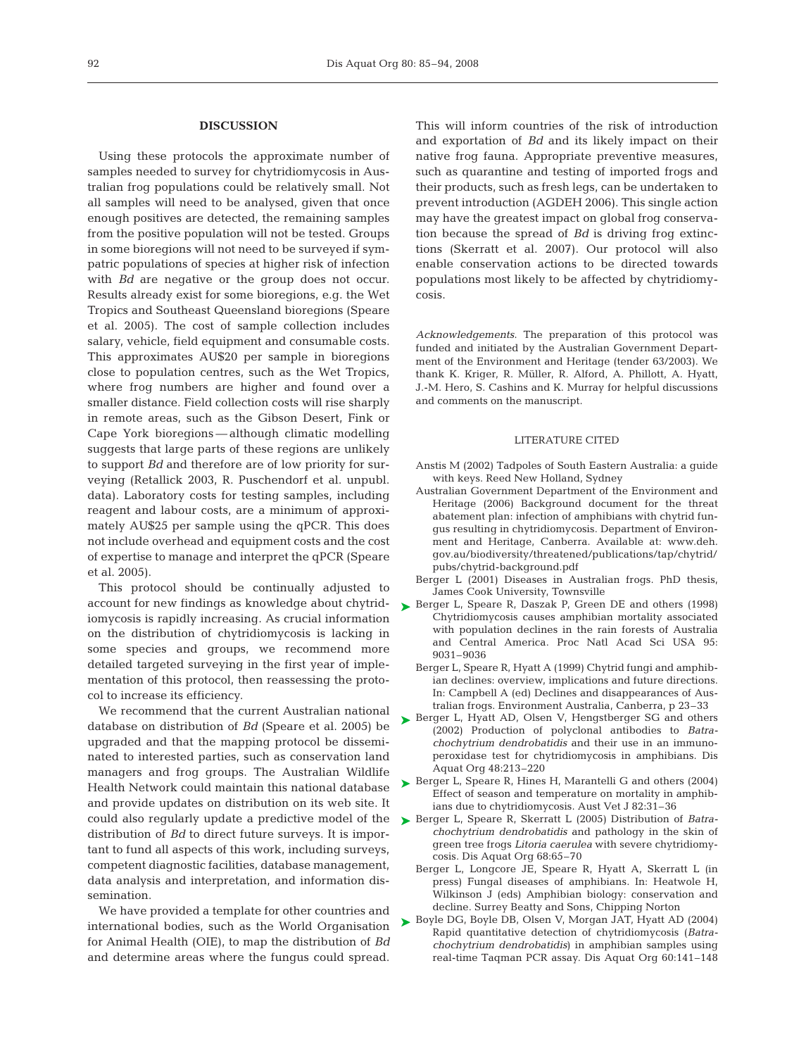### **DISCUSSION**

Using these protocols the approximate number of samples needed to survey for chytridiomycosis in Australian frog populations could be relatively small. Not all samples will need to be analysed, given that once enough positives are detected, the remaining samples from the positive population will not be tested. Groups in some bioregions will not need to be surveyed if sympatric populations of species at higher risk of infection with *Bd* are negative or the group does not occur. Results already exist for some bioregions, e.g. the Wet Tropics and Southeast Queensland bioregions (Speare et al. 2005). The cost of sample collection includes salary, vehicle, field equipment and consumable costs. This approximates AU\$20 per sample in bioregions close to population centres, such as the Wet Tropics, where frog numbers are higher and found over a smaller distance. Field collection costs will rise sharply in remote areas, such as the Gibson Desert, Fink or Cape York bioregions — although climatic modelling suggests that large parts of these regions are unlikely to support *Bd* and therefore are of low priority for surveying (Retallick 2003, R. Puschendorf et al. unpubl. data). Laboratory costs for testing samples, including reagent and labour costs, are a minimum of approximately AU\$25 per sample using the qPCR. This does not include overhead and equipment costs and the cost of expertise to manage and interpret the qPCR (Speare et al. 2005).

This protocol should be continually adjusted to account for new findings as knowledge about chytridiomycosis is rapidly increasing. As crucial information on the distribution of chytridiomycosis is lacking in some species and groups, we recommend more detailed targeted surveying in the first year of implementation of this protocol, then reassessing the protocol to increase its efficiency.

We recommend that the current Australian national database on distribution of *Bd* (Speare et al. 2005) be upgraded and that the mapping protocol be disseminated to interested parties, such as conservation land managers and frog groups. The Australian Wildlife Health Network could maintain this national database and provide updates on distribution on its web site. It could also regularly update a predictive model of the Berger L, Speare R, Skerratt L (2005) Distribution of *Batra-*➤ distribution of *Bd* to direct future surveys. It is important to fund all aspects of this work, including surveys, competent diagnostic facilities, database management, data analysis and interpretation, and information dissemination.

We have provided a template for other countries and international bodies, such as the World Organisation for Animal Health (OIE), to map the distribution of *Bd* and determine areas where the fungus could spread.

This will inform countries of the risk of introduction and exportation of *Bd* and its likely impact on their native frog fauna. Appropriate preventive measures, such as quarantine and testing of imported frogs and their products, such as fresh legs, can be undertaken to prevent introduction (AGDEH 2006). This single action may have the greatest impact on global frog conservation because the spread of *Bd* is driving frog extinctions (Skerratt et al. 2007). Our protocol will also enable conservation actions to be directed towards populations most likely to be affected by chytridiomycosis.

*Acknowledgements*. The preparation of this protocol was funded and initiated by the Australian Government Department of the Environment and Heritage (tender 63/2003). We thank K. Kriger, R. Müller, R. Alford, A. Phillott, A. Hyatt, J.-M. Hero, S. Cashins and K. Murray for helpful discussions and comments on the manuscript.

## LITERATURE CITED

- Anstis M (2002) Tadpoles of South Eastern Australia: a guide with keys. Reed New Holland, Sydney
- Australian Government Department of the Environment and Heritage (2006) Background document for the threat abatement plan: infection of amphibians with chytrid fungus resulting in chytridiomycosis. Department of Environment and Heritage, Canberra. Available at: www.deh. gov.au/biodiversity/threatened/publications/tap/chytrid/ pubs/chytrid-background.pdf
- Berger L (2001) Diseases in Australian frogs. PhD thesis, James Cook University, Townsville
- ► Berger L, Speare R, Daszak P, Green DE and others (1998) Chytridiomycosis causes amphibian mortality associated with population declines in the rain forests of Australia and Central America. Proc Natl Acad Sci USA 95: 9031–9036
	- Berger L, Speare R, Hyatt A (1999) Chytrid fungi and amphibian declines: overview, implications and future directions. In: Campbell A (ed) Declines and disappearances of Australian frogs. Environment Australia, Canberra, p 23–33
- ▶ Berger L, Hyatt AD, Olsen V, Hengstberger SG and others (2002) Production of polyclonal antibodies to *Batrachochytrium dendrobatidis* and their use in an immunoperoxidase test for chytridiomycosis in amphibians. Dis Aquat Org 48:213–220
- ▶ Berger L, Speare R, Hines H, Marantelli G and others (2004) Effect of season and temperature on mortality in amphibians due to chytridiomycosis. Aust Vet J 82:31–36
	- *chochytrium dendrobatidis* and pathology in the skin of green tree frogs *Litoria caerulea* with severe chytridiomycosis. Dis Aquat Org 68:65–70
	- Berger L, Longcore JE, Speare R, Hyatt A, Skerratt L (in press) Fungal diseases of amphibians. In: Heatwole H, Wilkinson J (eds) Amphibian biology: conservation and decline. Surrey Beatty and Sons, Chipping Norton
- ► Boyle DG, Boyle DB, Olsen V, Morgan JAT, Hyatt AD (2004) Rapid quantitative detection of chytridiomycosis (*Batrachochytrium dendrobatidis*) in amphibian samples using real-time Taqman PCR assay. Dis Aquat Org 60:141–148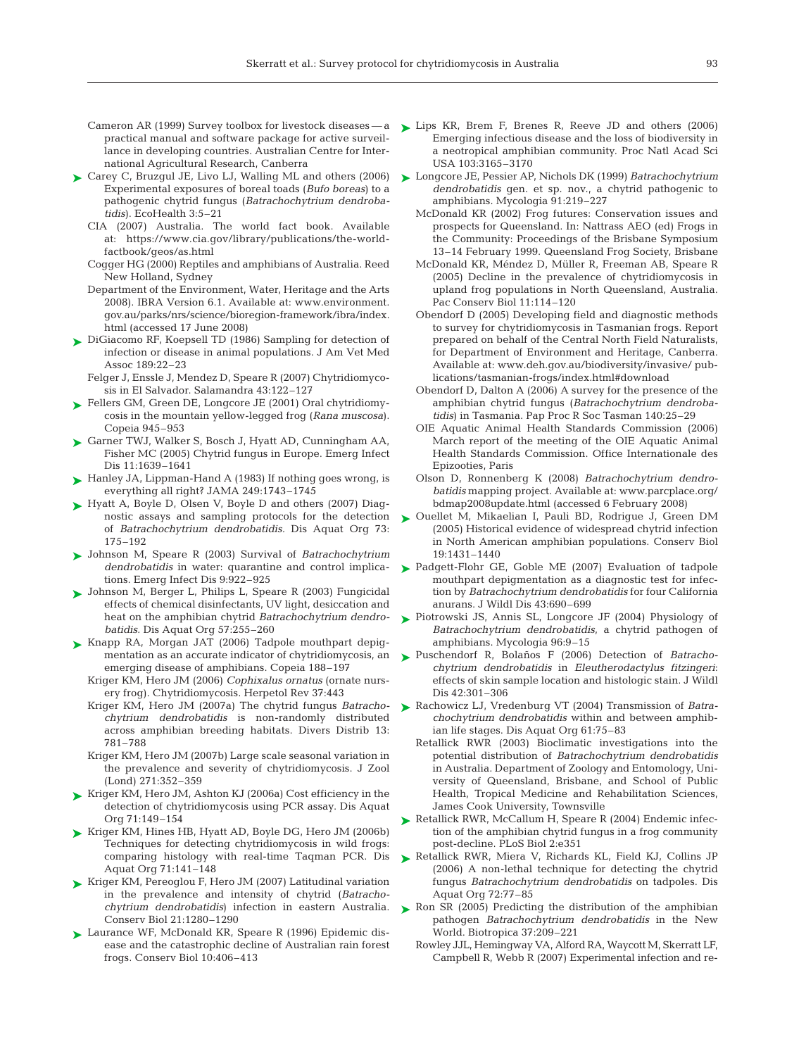- practical manual and software package for active surveillance in developing countries. Australian Centre for International Agricultural Research, Canberra
- ► Carey C, Bruzgul JE, Livo LJ, Walling ML and others (2006) Experimental exposures of boreal toads (*Bufo boreas*) to a pathogenic chytrid fungus (*Batrachochytrium dendrobatidis*). EcoHealth 3:5–21
	- CIA (2007) Australia. The world fact book. Available at: https://www.cia.gov/library/publications/the-worldfactbook/geos/as.html
	- Cogger HG (2000) Reptiles and amphibians of Australia. Reed New Holland, Sydney
	- Department of the Environment, Water, Heritage and the Arts 2008). IBRA Version 6.1. Available at: www.environment. gov.au/parks/nrs/science/bioregion-framework/ibra/index. html (accessed 17 June 2008)
- ► DiGiacomo RF, Koepsell TD (1986) Sampling for detection of infection or disease in animal populations. J Am Vet Med Assoc 189:22–23
	- Felger J, Enssle J, Mendez D, Speare R (2007) Chytridiomycosis in El Salvador. Salamandra 43:122–127
- ► Fellers GM, Green DE, Longcore JE (2001) Oral chytridiomycosis in the mountain yellow-legged frog (*Rana muscosa*). Copeia 945–953
- ► Garner TWJ, Walker S, Bosch J, Hyatt AD, Cunningham AA, Fisher MC (2005) Chytrid fungus in Europe. Emerg Infect Dis 11:1639–1641
- ► Hanley JA, Lippman-Hand A (1983) If nothing goes wrong, is everything all right? JAMA 249:1743–1745
- ► Hyatt A, Boyle D, Olsen V, Boyle D and others (2007) Diagnostic assays and sampling protocols for the detection of *Batrachochytrium dendrobatidis.* Dis Aquat Org 73: 175–192
- Johnson M, Speare R (2003) Survival of *Batrachochytrium* ➤ *dendrobatidis* in water: quarantine and control implications. Emerg Infect Dis 9:922–925
- ► Johnson M, Berger L, Philips L, Speare R (2003) Fungicidal effects of chemical disinfectants, UV light, desiccation and heat on the amphibian chytrid *Batrachochytrium dendrobatidis.* Dis Aquat Org 57:255–260
- Knapp RA, Morgan JAT (2006) Tadpole mouthpart depig-➤ mentation as an accurate indicator of chytridiomycosis, an emerging disease of amphibians. Copeia 188–197
	- Kriger KM, Hero JM (2006) *Cophixalus ornatus* (ornate nursery frog). Chytridiomycosis. Herpetol Rev 37:443
	- Kriger KM, Hero JM (2007a) The chytrid fungus *Batrachochytrium dendrobatidis* is non-randomly distributed across amphibian breeding habitats. Divers Distrib 13: 781–788
	- Kriger KM, Hero JM (2007b) Large scale seasonal variation in the prevalence and severity of chytridiomycosis. J Zool (Lond) 271:352–359
- ► Kriger KM, Hero JM, Ashton KJ (2006a) Cost efficiency in the detection of chytridiomycosis using PCR assay. Dis Aquat Org 71:149–154
- ► Kriger KM, Hines HB, Hyatt AD, Boyle DG, Hero JM (2006b) Techniques for detecting chytridiomycosis in wild frogs: comparing histology with real-time Taqman PCR. Dis Aquat Org 71:141–148
- ► Kriger KM, Pereoglou F, Hero JM (2007) Latitudinal variation in the prevalence and intensity of chytrid (*Batrachochytrium dendrobatidis*) infection in eastern Australia. Conserv Biol 21:1280–1290
- ► Laurance WF, McDonald KR, Speare R (1996) Epidemic disease and the catastrophic decline of Australian rain forest frogs. Conserv Biol 10:406–413
- Cameron AR (1999) Survey toolbox for livestock diseases  $\bullet$  Lips KR, Brem F, Brenes R, Reeve JD and others (2006) Emerging infectious disease and the loss of biodiversity in a neotropical amphibian community. Proc Natl Acad Sci USA 103:3165–3170
	- Longcore JE, Pessier AP, Nichols DK (1999) *Batrachochytrium* ➤ *dendrobatidis* gen. et sp. nov., a chytrid pathogenic to amphibians. Mycologia 91:219–227
		- McDonald KR (2002) Frog futures: Conservation issues and prospects for Queensland. In: Nattrass AEO (ed) Frogs in the Community: Proceedings of the Brisbane Symposium 13–14 February 1999. Queensland Frog Society, Brisbane
		- McDonald KR, Méndez D, Müller R, Freeman AB, Speare R (2005) Decline in the prevalence of chytridiomycosis in upland frog populations in North Queensland, Australia. Pac Conserv Biol 11:114–120
		- Obendorf D (2005) Developing field and diagnostic methods to survey for chytridiomycosis in Tasmanian frogs. Report prepared on behalf of the Central North Field Naturalists, for Department of Environment and Heritage, Canberra. Available at: www.deh.gov.au/biodiversity/invasive/ publications/tasmanian-frogs/index.html#download
		- Obendorf D, Dalton A (2006) A survey for the presence of the amphibian chytrid fungus (*Batrachochytrium dendrobatidis*) in Tasmania. Pap Proc R Soc Tasman 140:25–29
		- OIE Aquatic Animal Health Standards Commission (2006) March report of the meeting of the OIE Aquatic Animal Health Standards Commission. Office Internationale des Epizooties, Paris
		- Olson D, Ronnenberg K (2008) *Batrachochytrium dendrobatidis* mapping project. Available at: www.parcplace.org/ bdmap2008update.html (accessed 6 February 2008)
	- Ouellet M, Mikaelian I, Pauli BD, Rodrigue J, Green DM (2005) Historical evidence of widespread chytrid infection in North American amphibian populations. Conserv Biol 19:1431–1440 ➤
	- ▶ Padgett-Flohr GE, Goble ME (2007) Evaluation of tadpole mouthpart depigmentation as a diagnostic test for infection by *Batrachochytrium dendrobatidis* for four California anurans. J Wildl Dis 43:690–699
	- ▶ Piotrowski JS, Annis SL, Longcore JF (2004) Physiology of *Batrachochytrium dendrobatidis*, a chytrid pathogen of amphibians. Mycologia 96:9–15
	- Puschendorf R, Bolaños F (2006) Detection of *Batracho-*➤ *chytrium dendrobatidis* in *Eleutherodactylus fitzingeri*: effects of skin sample location and histologic stain. J Wildl Dis 42:301–306
	- Rachowicz LJ, Vredenburg VT (2004) Transmission of *Batra-*➤ *chochytrium dendrobatidis* within and between amphibian life stages. Dis Aquat Org 61:75–83
		- Retallick RWR (2003) Bioclimatic investigations into the potential distribution of *Batrachochytrium dendrobatidis* in Australia. Department of Zoology and Entomology, University of Queensland, Brisbane, and School of Public Health, Tropical Medicine and Rehabilitation Sciences, James Cook University, Townsville
	- ▶ Retallick RWR, McCallum H, Speare R (2004) Endemic infection of the amphibian chytrid fungus in a frog community post-decline. PLoS Biol 2:e351
	- ▶ Retallick RWR, Miera V, Richards KL, Field KJ, Collins JP (2006) A non-lethal technique for detecting the chytrid fungus *Batrachochytrium dendrobatidis* on tadpoles. Dis Aquat Org 72:77–85
	- ▶ Ron SR (2005) Predicting the distribution of the amphibian pathogen *Batrachochytrium dendrobatidis* in the New World. Biotropica 37:209–221
		- Rowley JJL, Hemingway VA, Alford RA, Waycott M, Skerratt LF, Campbell R, Webb R (2007) Experimental infection and re-